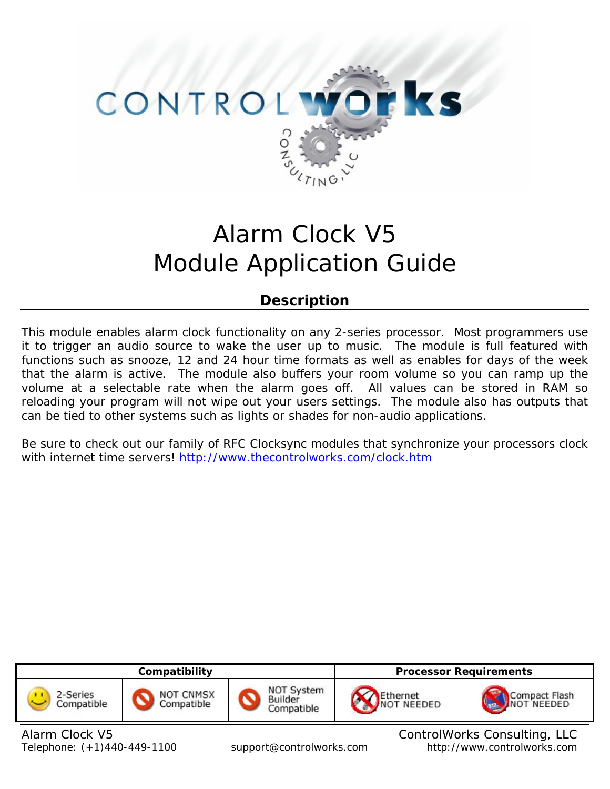

# Alarm Clock V5 Module Application Guide

# **Description**

This module enables alarm clock functionality on any 2-series processor. Most programmers use it to trigger an audio source to wake the user up to music. The module is full featured with functions such as snooze, 12 and 24 hour time formats as well as enables for days of the week that the alarm is active. The module also buffers your room volume so you can ramp up the volume at a selectable rate when the alarm goes off. All values can be stored in RAM so reloading your program will not wipe out your users settings. The module also has outputs that can be tied to other systems such as lights or shades for non-audio applications.

Be sure to check out our family of RFC Clocksync modules that synchronize your processors clock with internet time servers!<http://www.thecontrolworks.com/clock.htm>

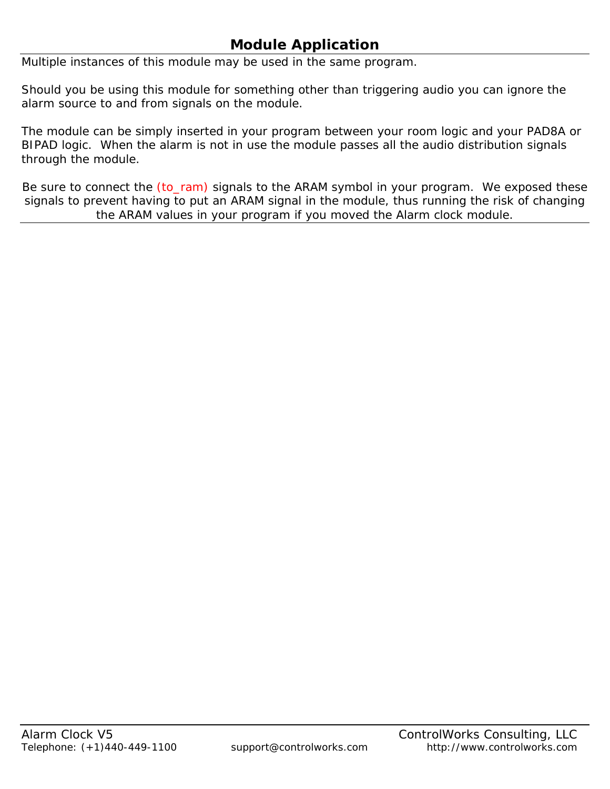# **Module Application**

Multiple instances of this module may be used in the same program.

Should you be using this module for something other than triggering audio you can ignore the alarm source to and from signals on the module.

The module can be simply inserted in your program between your room logic and your PAD8A or BIPAD logic. When the alarm is not in use the module passes all the audio distribution signals through the module.

Be sure to connect the (to\_ram) signals to the ARAM symbol in your program. We exposed these signals to prevent having to put an ARAM signal in the module, thus running the risk of changing the ARAM values in your program if you moved the Alarm clock module.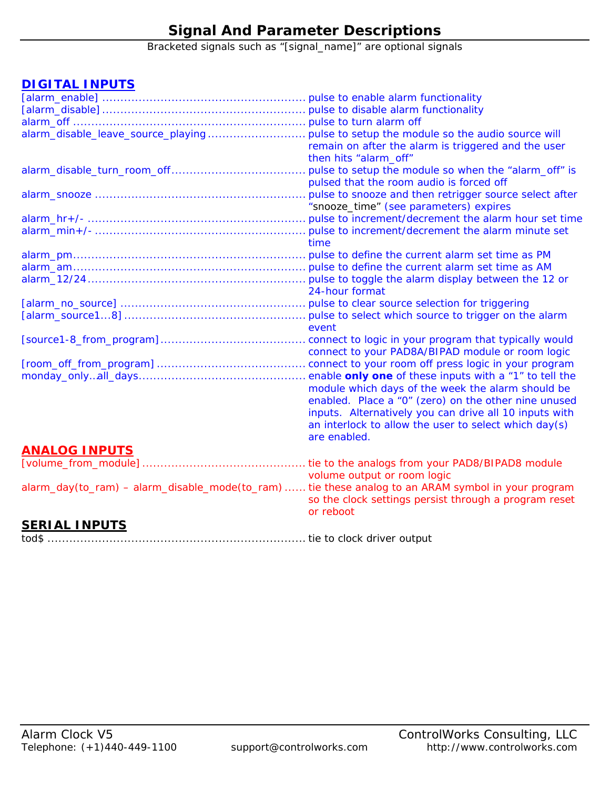# **Signal And Parameter Descriptions**

Bracketed signals such as "[signal\_name]" are optional signals

### **DIGITAL INPUTS**

| alarm_disable_leave_source_playing  pulse to setup the module so the audio source will             |                                                        |
|----------------------------------------------------------------------------------------------------|--------------------------------------------------------|
|                                                                                                    | remain on after the alarm is triggered and the user    |
|                                                                                                    | then hits "alarm_off"                                  |
|                                                                                                    | pulse to setup the module so when the "alarm_off" is   |
|                                                                                                    | pulsed that the room audio is forced off               |
|                                                                                                    | pulse to snooze and then retrigger source select after |
|                                                                                                    | "snooze_time" (see parameters) expires                 |
|                                                                                                    |                                                        |
|                                                                                                    |                                                        |
|                                                                                                    | time                                                   |
|                                                                                                    |                                                        |
|                                                                                                    |                                                        |
|                                                                                                    |                                                        |
|                                                                                                    | 24-hour format                                         |
|                                                                                                    |                                                        |
|                                                                                                    |                                                        |
|                                                                                                    | event                                                  |
|                                                                                                    |                                                        |
|                                                                                                    | connect to your PAD8A/BIPAD module or room logic       |
|                                                                                                    |                                                        |
|                                                                                                    |                                                        |
|                                                                                                    | module which days of the week the alarm should be      |
|                                                                                                    | enabled. Place a "0" (zero) on the other nine unused   |
|                                                                                                    | inputs. Alternatively you can drive all 10 inputs with |
|                                                                                                    | an interlock to allow the user to select which day(s)  |
|                                                                                                    | are enabled.                                           |
| <b>ANALOG INPUTS</b>                                                                               |                                                        |
|                                                                                                    |                                                        |
|                                                                                                    | volume output or room logic                            |
| alarm_day(to_ram) – alarm_disable_mode(to_ram)  tie these analog to an ARAM symbol in your program |                                                        |
|                                                                                                    | so the clock settings persist through a program reset  |
|                                                                                                    | or reboot                                              |
| <b>SERIAL INPUTS</b>                                                                               |                                                        |

tod\$ ....................................................................... tie to clock driver output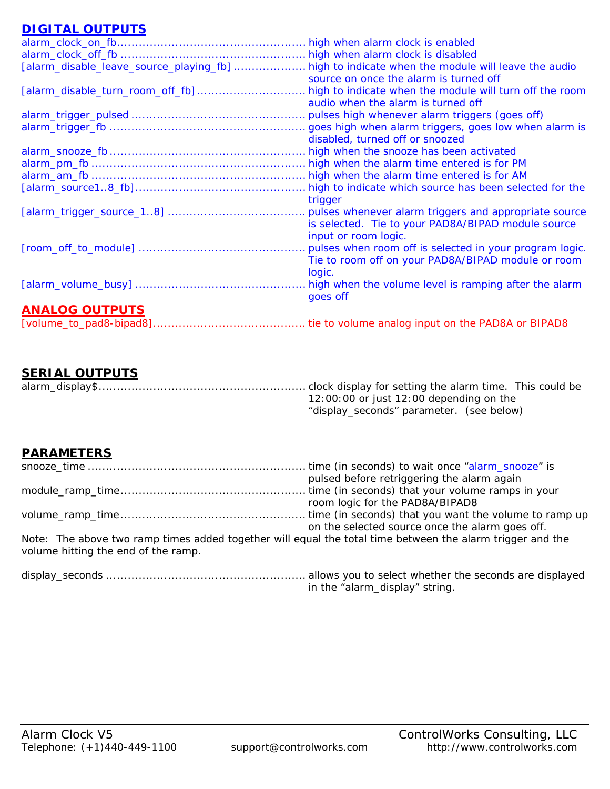### **DIGITAL OUTPUTS**

| <u> 1211 - 122 - 122 - 122 - 12</u>     |                                                                                                                         |
|-----------------------------------------|-------------------------------------------------------------------------------------------------------------------------|
|                                         | high when alarm clock is enabled                                                                                        |
|                                         |                                                                                                                         |
| [alarm_disable_leave_source_playing_fb] | high to indicate when the module will leave the audio<br>source on once the alarm is turned off                         |
| [alarm_disable_turn_room_off_fb]        | high to indicate when the module will turn off the room<br>audio when the alarm is turned off                           |
|                                         | pulses high whenever alarm triggers (goes off)                                                                          |
|                                         | goes high when alarm triggers, goes low when alarm is<br>disabled, turned off or snoozed                                |
|                                         | high when the snooze has been activated                                                                                 |
|                                         | high when the alarm time entered is for PM                                                                              |
|                                         | high when the alarm time entered is for AM                                                                              |
|                                         | high to indicate which source has been selected for the<br>trigger                                                      |
|                                         | is selected. Tie to your PAD8A/BIPAD module source<br>input or room logic.                                              |
|                                         | pulses when room off is selected in your program logic.<br>Tie to room off on your PAD8A/BIPAD module or room<br>logic. |
|                                         | high when the volume level is ramping after the alarm<br>goes off                                                       |
| <b>ANALOG OUTPUTS</b>                   |                                                                                                                         |
|                                         |                                                                                                                         |

### **SERIAL OUTPUTS**

|  | 12:00:00 or just 12:00 depending on the  |
|--|------------------------------------------|
|  | "display_seconds" parameter. (see below) |

### **PARAMETERS**

|                                                                                                                                                  | pulsed before retriggering the alarm again             |
|--------------------------------------------------------------------------------------------------------------------------------------------------|--------------------------------------------------------|
|                                                                                                                                                  |                                                        |
|                                                                                                                                                  | room logic for the PAD8A/BIPAD8                        |
|                                                                                                                                                  |                                                        |
|                                                                                                                                                  | on the selected source once the alarm goes off.        |
| Note: The above two ramp times added together will equal the total time between the alarm trigger and the<br>volume hitting the end of the ramp. |                                                        |
| dienlay saconde                                                                                                                                  | allows you to select whether the seconds are displayed |

display\_seconds ....................................................... allows you to select whether the seconds are displayed in the "alarm\_display" string.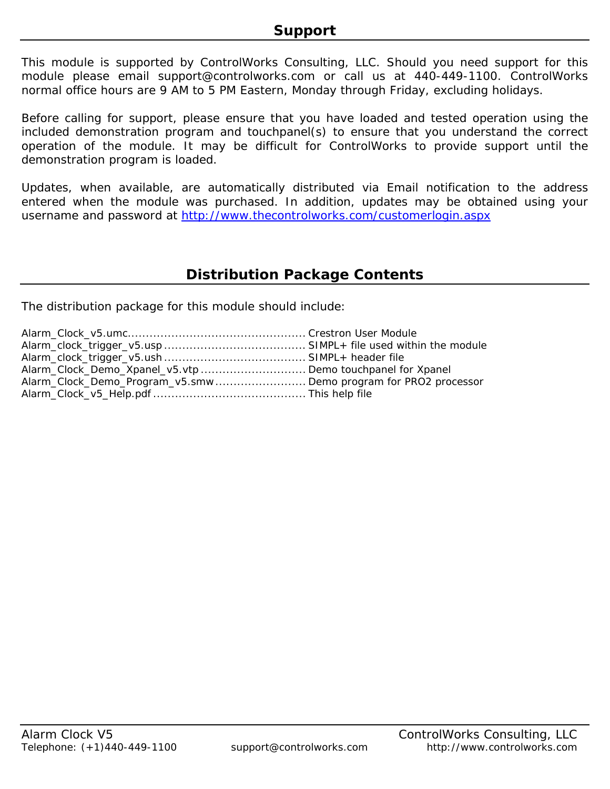This module is supported by ControlWorks Consulting, LLC. Should you need support for this module please email support@controlworks.com or call us at 440-449-1100. ControlWorks normal office hours are 9 AM to 5 PM Eastern, Monday through Friday, excluding holidays.

Before calling for support, please ensure that you have loaded and tested operation using the included demonstration program and touchpanel(s) to ensure that you understand the correct operation of the module. It may be difficult for ControlWorks to provide support until the demonstration program is loaded.

Updates, when available, are automatically distributed via Email notification to the address entered when the module was purchased. In addition, updates may be obtained using your username and password at<http://www.thecontrolworks.com/customerlogin.aspx>

### **Distribution Package Contents**

The distribution package for this module should include:

| Alarm_Clock_Demo_Xpanel_v5.vtp Demo touchpanel for Xpanel      |  |
|----------------------------------------------------------------|--|
| Alarm_Clock_Demo_Program_v5.smwDemo program for PRO2 processor |  |
|                                                                |  |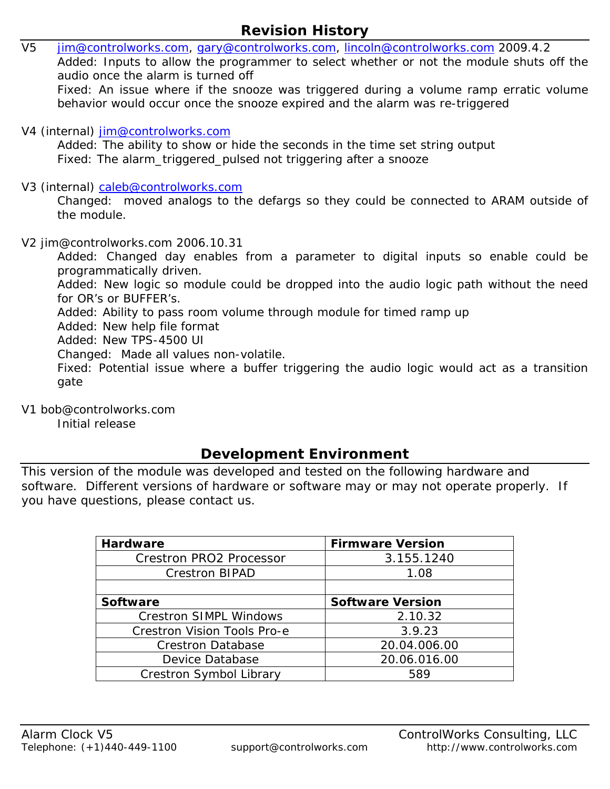- V5 [jim@controlworks.com,](mailto:jim@controlworks.com) [gary@controlworks.com](mailto:gary@controlworks.com), [lincoln@controlworks.com](mailto:lincoln@controlworks.com) 2009.4.2 Added: Inputs to allow the programmer to select whether or not the module shuts off the audio once the alarm is turned off Fixed: An issue where if the snooze was triggered during a volume ramp erratic volume behavior would occur once the snooze expired and the alarm was re-triggered V4 (internal) [jim@controlworks.com](mailto:jim@controlworks.com) Added: The ability to show or hide the seconds in the time set string output Fixed: The alarm\_triggered\_pulsed not triggering after a snooze V3 (internal) [caleb@controlworks.com](mailto:caleb@controlworks.com) Changed: moved analogs to the defargs so they could be connected to ARAM outside of the module. V2 jim@controlworks.com 2006.10.31 Added: Changed day enables from a parameter to digital inputs so enable could be programmatically driven. Added: New logic so module could be dropped into the audio logic path without the need for OR's or BUFFER's. Added: Ability to pass room volume through module for timed ramp up
	- Added: New help file format
	- Added: New TPS-4500 UI
	- Changed: Made all values non-volatile.
	- Fixed: Potential issue where a buffer triggering the audio logic would act as a transition gate
- V1 bob@controlworks.com
	- Initial release

# **Development Environment**

This version of the module was developed and tested on the following hardware and software. Different versions of hardware or software may or may not operate properly. If you have questions, please contact us.

| Hardware                           | <b>Firmware Version</b> |
|------------------------------------|-------------------------|
| <b>Crestron PRO2 Processor</b>     | 3.155.1240              |
| <b>Crestron BIPAD</b>              | 1.08                    |
|                                    |                         |
| Software                           | <b>Software Version</b> |
| <b>Crestron SIMPL Windows</b>      | 2.10.32                 |
| <b>Crestron Vision Tools Pro-e</b> | 3.9.23                  |
| <b>Crestron Database</b>           | 20.04.006.00            |
| Device Database                    | 20.06.016.00            |
| Crestron Symbol Library            | 589                     |